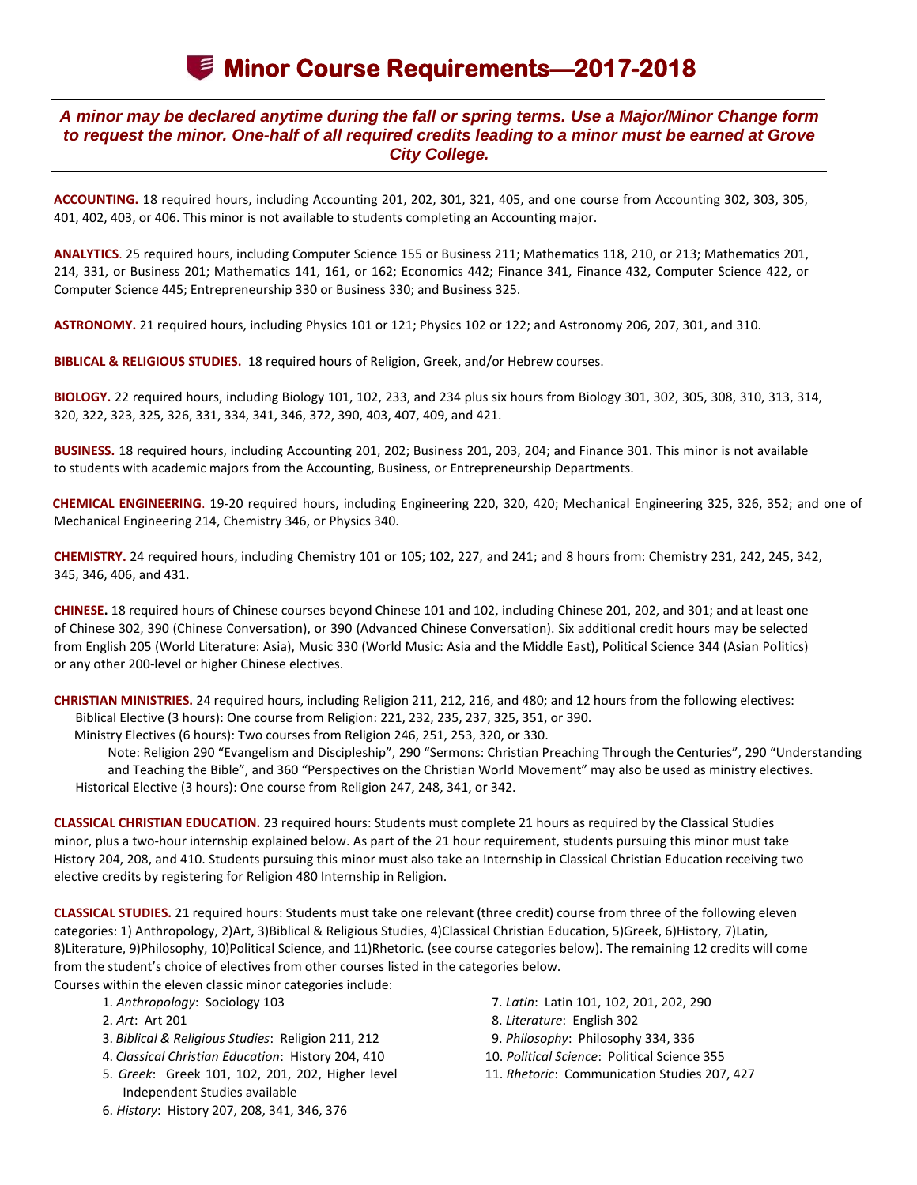## **Minor Course Requirements—2017-2018**

## *A minor may be declared anytime during the fall or spring terms. Use a Major/Minor Change form to request the minor. One-half of all required credits leading to a minor must be earned at Grove City College.*

**ACCOUNTING.** 18 required hours, including Accounting 201, 202, 301, 321, 405, and one course from Accounting 302, 303, 305, 401, 402, 403, or 406. This minor is not available to students completing an Accounting major.

**ANALYTICS**. 25 required hours, including Computer Science 155 or Business 211; Mathematics 118, 210, or 213; Mathematics 201, 214, 331, or Business 201; Mathematics 141, 161, or 162; Economics 442; Finance 341, Finance 432, Computer Science 422, or Computer Science 445; Entrepreneurship 330 or Business 330; and Business 325.

**ASTRONOMY.** 21 required hours, including Physics 101 or 121; Physics 102 or 122; and Astronomy 206, 207, 301, and 310.

**BIBLICAL & RELIGIOUS STUDIES.** 18 required hours of Religion, Greek, and/or Hebrew courses.

**BIOLOGY.** 22 required hours, including Biology 101, 102, 233, and 234 plus six hours from Biology 301, 302, 305, 308, 310, 313, 314, 320, 322, 323, 325, 326, 331, 334, 341, 346, 372, 390, 403, 407, 409, and 421.

**BUSINESS.** 18 required hours, including Accounting 201, 202; Business 201, 203, 204; and Finance 301. This minor is not available to students with academic majors from the Accounting, Business, or Entrepreneurship Departments.

**CHEMICAL ENGINEERING**. 19-20 required hours, including Engineering 220, 320, 420; Mechanical Engineering 325, 326, 352; and one of Mechanical Engineering 214, Chemistry 346, or Physics 340.

**CHEMISTRY.** 24 required hours, including Chemistry 101 or 105; 102, 227, and 241; and 8 hours from: Chemistry 231, 242, 245, 342, 345, 346, 406, and 431.

**CHINESE.** 18 required hours of Chinese courses beyond Chinese 101 and 102, including Chinese 201, 202, and 301; and at least one of Chinese 302, 390 (Chinese Conversation), or 390 (Advanced Chinese Conversation). Six additional credit hours may be selected from English 205 (World Literature: Asia), Music 330 (World Music: Asia and the Middle East), Political Science 344 (Asian Politics) or any other 200-level or higher Chinese electives.

**CHRISTIAN MINISTRIES.** 24 required hours, including Religion 211, 212, 216, and 480; and 12 hours from the following electives: Biblical Elective (3 hours): One course from Religion: 221, 232, 235, 237, 325, 351, or 390.

Ministry Electives (6 hours): Two courses from Religion 246, 251, 253, 320, or 330.

Note: Religion 290 "Evangelism and Discipleship", 290 "Sermons: Christian Preaching Through the Centuries", 290 "Understanding and Teaching the Bible", and 360 "Perspectives on the Christian World Movement" may also be used as ministry electives. Historical Elective (3 hours): One course from Religion 247, 248, 341, or 342.

**CLASSICAL CHRISTIAN EDUCATION.** 23 required hours: Students must complete 21 hours as required by the Classical Studies minor, plus a two-hour internship explained below. As part of the 21 hour requirement, students pursuing this minor must take History 204, 208, and 410. Students pursuing this minor must also take an Internship in Classical Christian Education receiving two elective credits by registering for Religion 480 Internship in Religion.

**CLASSICAL STUDIES.** 21 required hours: Students must take one relevant (three credit) course from three of the following eleven categories: 1) Anthropology, 2)Art, 3)Biblical & Religious Studies, 4)Classical Christian Education, 5)Greek, 6)History, 7)Latin, 8)Literature, 9)Philosophy, 10)Political Science, and 11)Rhetoric. (see course categories below). The remaining 12 credits will come from the student's choice of electives from other courses listed in the categories below.

Courses within the eleven classic minor categories include:

- 1. *Anthropology*: Sociology 103
- 2. *Art*: Art 201
- 3. *Biblical & Religious Studies*: Religion 211, 212
- 4. *Classical Christian Education*: History 204, 410
- 5. *Greek*: Greek 101, 102, 201, 202, Higher level Independent Studies available
- 7. *Latin*: Latin 101, 102, 201, 202, 290
- 8. *Literature*: English 302
- 9. *Philosophy*: Philosophy 334, 336
- 10. *Political Science*: Political Science 355
- 11. *Rhetoric*: Communication Studies 207, 427

6. *History*: History 207, 208, 341, 346, 376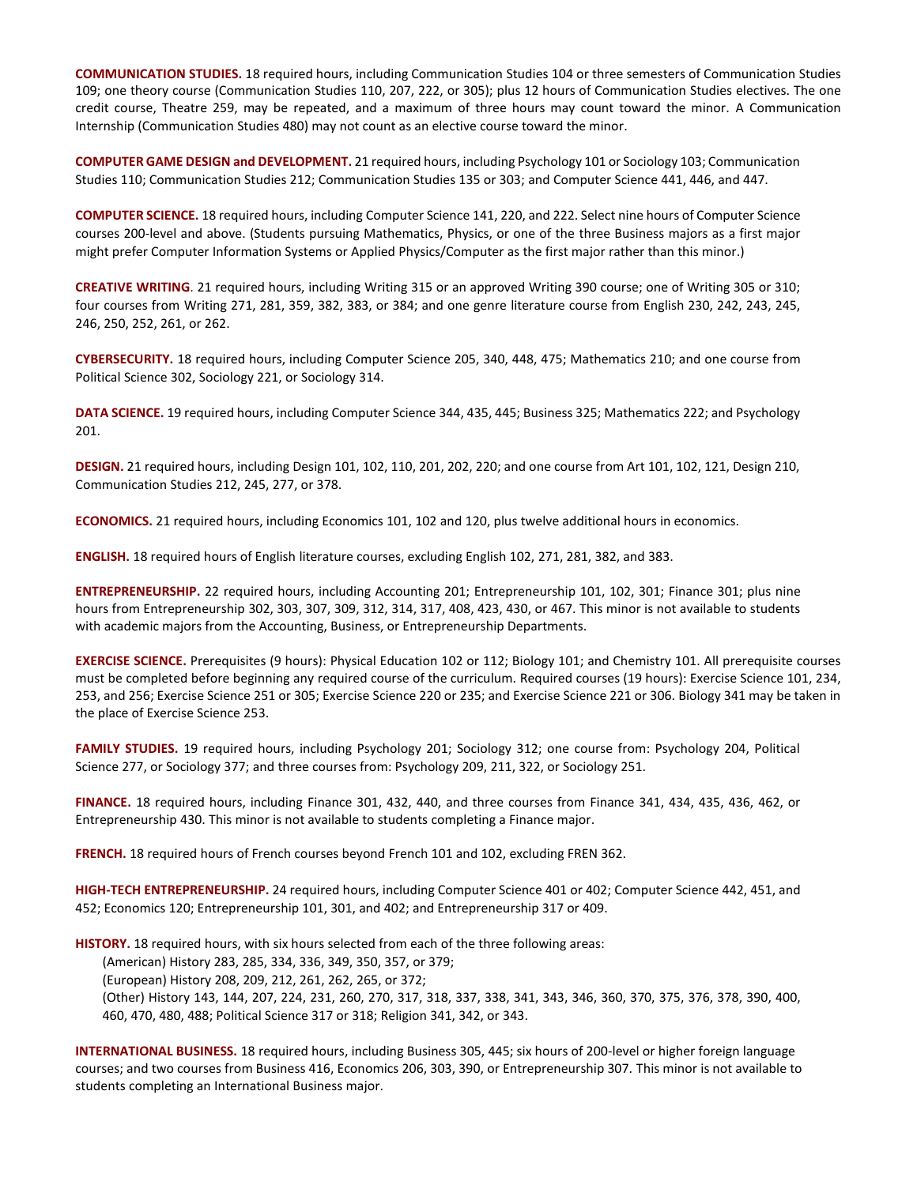**COMMUNICATION STUDIES.** 18 required hours, including Communication Studies 104 or three semesters of Communication Studies 109; one theory course (Communication Studies 110, 207, 222, or 305); plus 12 hours of Communication Studies electives. The one credit course, Theatre 259, may be repeated, and a maximum of three hours may count toward the minor. A Communication Internship (Communication Studies 480) may not count as an elective course toward the minor.

**COMPUTER GAME DESIGN and DEVELOPMENT.** 21 required hours, including Psychology 101 or Sociology 103; Communication Studies 110; Communication Studies 212; Communication Studies 135 or 303; and Computer Science 441, 446, and 447.

**COMPUTER SCIENCE.** 18 required hours, including Computer Science 141, 220, and 222. Select nine hours of Computer Science courses 200-level and above. (Students pursuing Mathematics, Physics, or one of the three Business majors as a first major might prefer Computer Information Systems or Applied Physics/Computer as the first major rather than this minor.)

**CREATIVE WRITING**. 21 required hours, including Writing 315 or an approved Writing 390 course; one of Writing 305 or 310; four courses from Writing 271, 281, 359, 382, 383, or 384; and one genre literature course from English 230, 242, 243, 245, 246, 250, 252, 261, or 262.

**CYBERSECURITY.** 18 required hours, including Computer Science 205, 340, 448, 475; Mathematics 210; and one course from Political Science 302, Sociology 221, or Sociology 314.

**DATA SCIENCE.** 19 required hours, including Computer Science 344, 435, 445; Business 325; Mathematics 222; and Psychology 201.

**DESIGN.** 21 required hours, including Design 101, 102, 110, 201, 202, 220; and one course from Art 101, 102, 121, Design 210, Communication Studies 212, 245, 277, or 378.

**ECONOMICS.** 21 required hours, including Economics 101, 102 and 120, plus twelve additional hours in economics.

**ENGLISH.** 18 required hours of English literature courses, excluding English 102, 271, 281, 382, and 383.

**ENTREPRENEURSHIP.** 22 required hours, including Accounting 201; Entrepreneurship 101, 102, 301; Finance 301; plus nine hours from Entrepreneurship 302, 303, 307, 309, 312, 314, 317, 408, 423, 430, or 467. This minor is not available to students with academic majors from the Accounting, Business, or Entrepreneurship Departments.

**EXERCISE SCIENCE.** Prerequisites (9 hours): Physical Education 102 or 112; Biology 101; and Chemistry 101. All prerequisite courses must be completed before beginning any required course of the curriculum. Required courses (19 hours): Exercise Science 101, 234, 253, and 256; Exercise Science 251 or 305; Exercise Science 220 or 235; and Exercise Science 221 or 306. Biology 341 may be taken in the place of Exercise Science 253.

**FAMILY STUDIES.** 19 required hours, including Psychology 201; Sociology 312; one course from: Psychology 204, Political Science 277, or Sociology 377; and three courses from: Psychology 209, 211, 322, or Sociology 251.

**FINANCE.** 18 required hours, including Finance 301, 432, 440, and three courses from Finance 341, 434, 435, 436, 462, or Entrepreneurship 430. This minor is not available to students completing a Finance major.

**FRENCH.** 18 required hours of French courses beyond French 101 and 102, excluding FREN 362.

**HIGH-TECH ENTREPRENEURSHIP.** 24 required hours, including Computer Science 401 or 402; Computer Science 442, 451, and 452; Economics 120; Entrepreneurship 101, 301, and 402; and Entrepreneurship 317 or 409.

**HISTORY.** 18 required hours, with six hours selected from each of the three following areas:

(American) History 283, 285, 334, 336, 349, 350, 357, or 379;

(European) History 208, 209, 212, 261, 262, 265, or 372;

(Other) History 143, 144, 207, 224, 231, 260, 270, 317, 318, 337, 338, 341, 343, 346, 360, 370, 375, 376, 378, 390, 400, 460, 470, 480, 488; Political Science 317 or 318; Religion 341, 342, or 343.

**INTERNATIONAL BUSINESS.** 18 required hours, including Business 305, 445; six hours of 200-level or higher foreign language courses; and two courses from Business 416, Economics 206, 303, 390, or Entrepreneurship 307. This minor is not available to students completing an International Business major.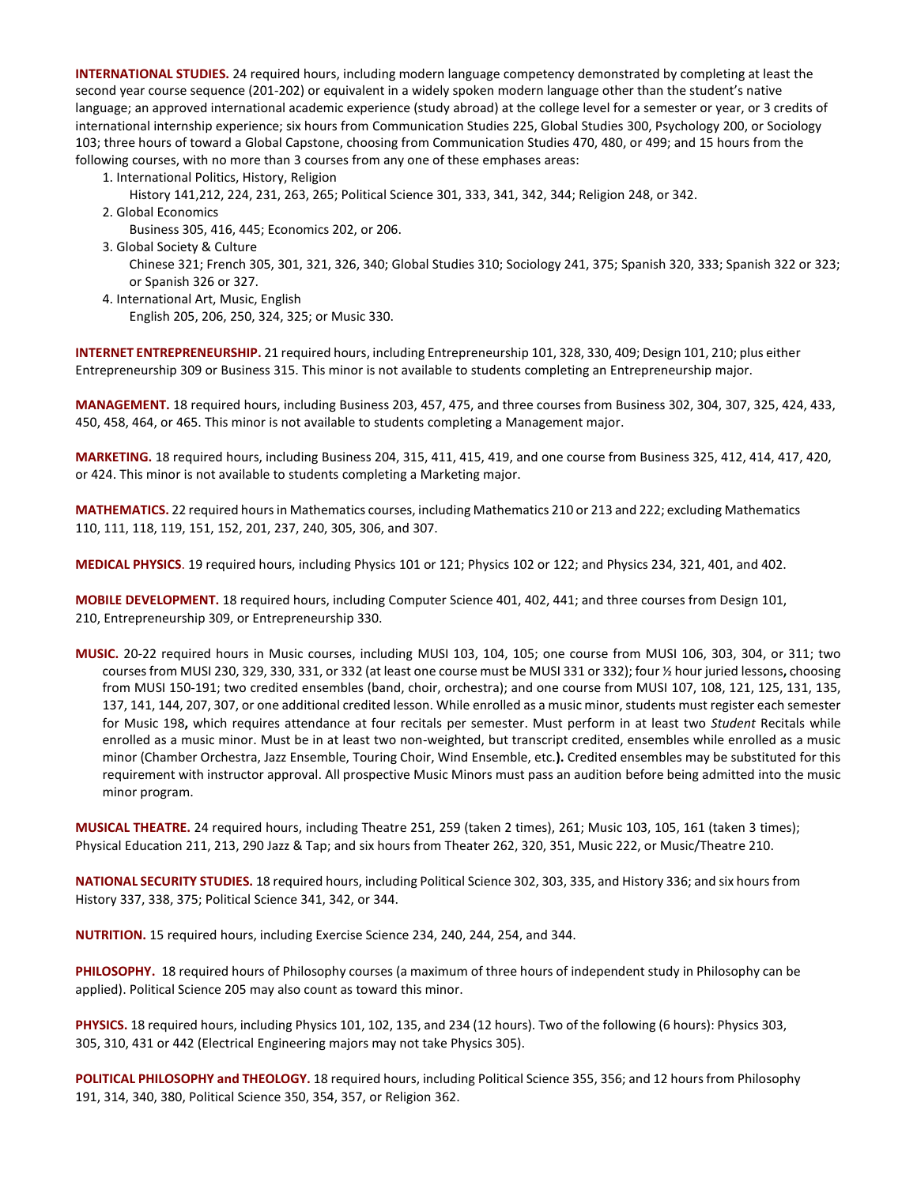**INTERNATIONAL STUDIES.** 24 required hours, including modern language competency demonstrated by completing at least the second year course sequence (201-202) or equivalent in a widely spoken modern language other than the student's native language; an approved international academic experience (study abroad) at the college level for a semester or year, or 3 credits of international internship experience; six hours from Communication Studies 225, Global Studies 300, Psychology 200, or Sociology 103; three hours of toward a Global Capstone, choosing from Communication Studies 470, 480, or 499; and 15 hours from the following courses, with no more than 3 courses from any one of these emphases areas:

1. International Politics, History, Religion

History 141,212, 224, 231, 263, 265; Political Science 301, 333, 341, 342, 344; Religion 248, or 342.

2. Global Economics

Business 305, 416, 445; Economics 202, or 206.

- 3. Global Society & Culture Chinese 321; French 305, 301, 321, 326, 340; Global Studies 310; Sociology 241, 375; Spanish 320, 333; Spanish 322 or 323; or Spanish 326 or 327.
- 4. International Art, Music, English English 205, 206, 250, 324, 325; or Music 330.

**INTERNET ENTREPRENEURSHIP.** 21 required hours, including Entrepreneurship 101, 328, 330, 409; Design 101, 210; plus either Entrepreneurship 309 or Business 315. This minor is not available to students completing an Entrepreneurship major.

**MANAGEMENT.** 18 required hours, including Business 203, 457, 475, and three courses from Business 302, 304, 307, 325, 424, 433, 450, 458, 464, or 465. This minor is not available to students completing a Management major.

**MARKETING.** 18 required hours, including Business 204, 315, 411, 415, 419, and one course from Business 325, 412, 414, 417, 420, or 424. This minor is not available to students completing a Marketing major.

**MATHEMATICS.** 22 required hours in Mathematics courses, including Mathematics 210 or 213 and 222; excluding Mathematics 110, 111, 118, 119, 151, 152, 201, 237, 240, 305, 306, and 307.

**MEDICAL PHYSICS**. 19 required hours, including Physics 101 or 121; Physics 102 or 122; and Physics 234, 321, 401, and 402.

**MOBILE DEVELOPMENT.** 18 required hours, including Computer Science 401, 402, 441; and three courses from Design 101, 210, Entrepreneurship 309, or Entrepreneurship 330.

**MUSIC.** 20-22 required hours in Music courses, including MUSI 103, 104, 105; one course from MUSI 106, 303, 304, or 311; two courses from MUSI 230, 329, 330, 331, or 332 (at least one course must be MUSI 331 or 332); four ½ hour juried lessons**,** choosing from MUSI 150-191; two credited ensembles (band, choir, orchestra); and one course from MUSI 107, 108, 121, 125, 131, 135, 137, 141, 144, 207, 307, or one additional credited lesson. While enrolled as a music minor, students must register each semester for Music 198**,** which requires attendance at four recitals per semester. Must perform in at least two *Student* Recitals while enrolled as a music minor. Must be in at least two non-weighted, but transcript credited, ensembles while enrolled as a music minor (Chamber Orchestra, Jazz Ensemble, Touring Choir, Wind Ensemble, etc.**).** Credited ensembles may be substituted for this requirement with instructor approval. All prospective Music Minors must pass an audition before being admitted into the music minor program.

**MUSICAL THEATRE.** 24 required hours, including Theatre 251, 259 (taken 2 times), 261; Music 103, 105, 161 (taken 3 times); Physical Education 211, 213, 290 Jazz & Tap; and six hours from Theater 262, 320, 351, Music 222, or Music/Theatre 210.

**NATIONAL SECURITY STUDIES.** 18 required hours, including Political Science 302, 303, 335, and History 336; and six hours from History 337, 338, 375; Political Science 341, 342, or 344.

**NUTRITION.** 15 required hours, including Exercise Science 234, 240, 244, 254, and 344.

**PHILOSOPHY.** 18 required hours of Philosophy courses (a maximum of three hours of independent study in Philosophy can be applied). Political Science 205 may also count as toward this minor.

**PHYSICS.** 18 required hours, including Physics 101, 102, 135, and 234 (12 hours). Two of the following (6 hours): Physics 303, 305, 310, 431 or 442 (Electrical Engineering majors may not take Physics 305).

**POLITICAL PHILOSOPHY and THEOLOGY.** 18 required hours, including Political Science 355, 356; and 12 hours from Philosophy 191, 314, 340, 380, Political Science 350, 354, 357, or Religion 362.